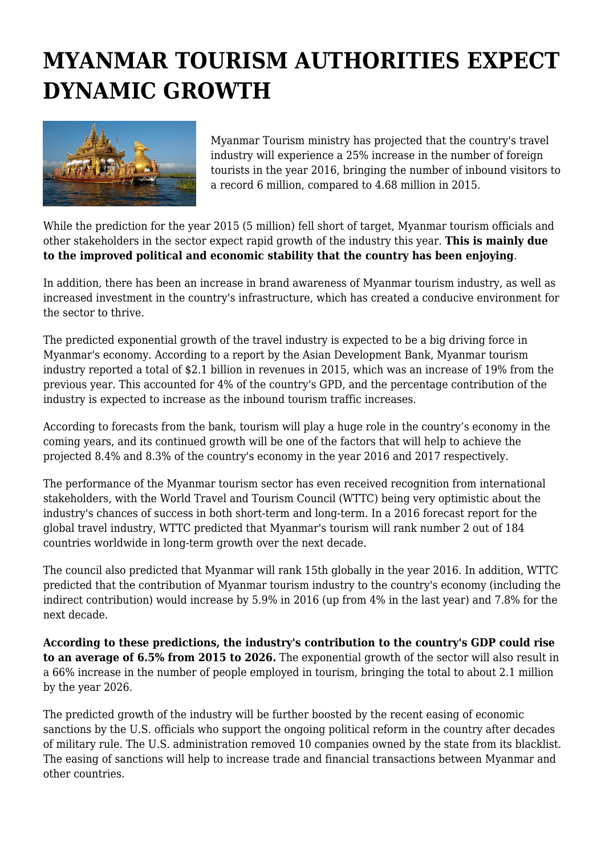## **MYANMAR TOURISM AUTHORITIES EXPECT DYNAMIC GROWTH**



Myanmar Tourism ministry has projected that the country's travel industry will experience a 25% increase in the number of foreign tourists in the year 2016, bringing the number of inbound visitors to a record 6 million, compared to 4.68 million in 2015.

While the prediction for the year 2015 (5 million) fell short of target, Myanmar tourism officials and other stakeholders in the sector expect rapid growth of the industry this year. **This is mainly due to the improved political and economic stability that the country has been enjoying**.

In addition, there has been an increase in brand awareness of Myanmar tourism industry, as well as increased investment in the country's infrastructure, which has created a conducive environment for the sector to thrive.

The predicted exponential growth of the travel industry is expected to be a big driving force in Myanmar's economy. According to a report by the Asian Development Bank, Myanmar tourism industry reported a total of \$2.1 billion in revenues in 2015, which was an increase of 19% from the previous year. This accounted for 4% of the country's GPD, and the percentage contribution of the industry is expected to increase as the inbound tourism traffic increases.

According to forecasts from the bank, tourism will play a huge role in the country's economy in the coming years, and its continued growth will be one of the factors that will help to achieve the projected 8.4% and 8.3% of the country's economy in the year 2016 and 2017 respectively.

The performance of the Myanmar tourism sector has even received recognition from international stakeholders, with the World Travel and Tourism Council (WTTC) being very optimistic about the industry's chances of success in both short-term and long-term. In a 2016 forecast report for the global travel industry, WTTC predicted that Myanmar's tourism will rank number 2 out of 184 countries worldwide in long-term growth over the next decade.

The council also predicted that Myanmar will rank 15th globally in the year 2016. In addition, WTTC predicted that the contribution of Myanmar tourism industry to the country's economy (including the indirect contribution) would increase by 5.9% in 2016 (up from 4% in the last year) and 7.8% for the next decade.

**According to these predictions, the industry's contribution to the country's GDP could rise to an average of 6.5% from 2015 to 2026.** The exponential growth of the sector will also result in a 66% increase in the number of people employed in tourism, bringing the total to about 2.1 million by the year 2026.

The predicted growth of the industry will be further boosted by the recent easing of economic sanctions by the U.S. officials who support the ongoing political reform in the country after decades of military rule. The U.S. administration removed 10 companies owned by the state from its blacklist. The easing of sanctions will help to increase trade and financial transactions between Myanmar and other countries.